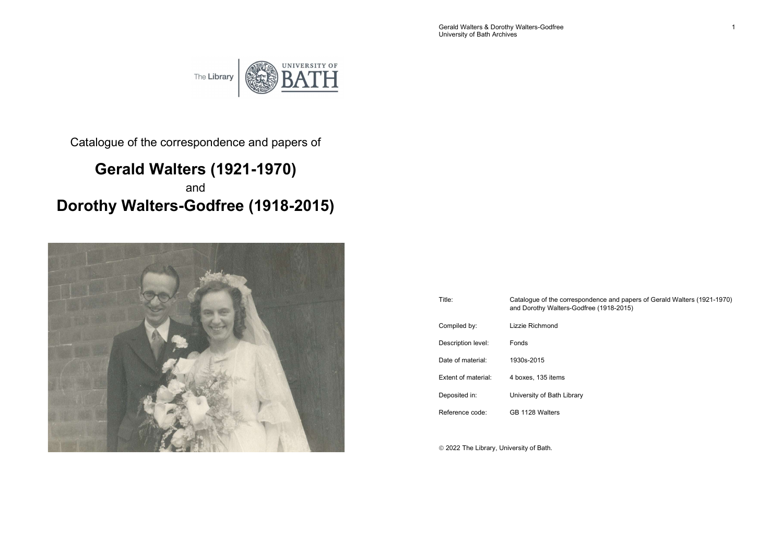Gerald Walters & Dorothy Walters-Godfree 1 and 200 and 200 and 200 and 200 and 200 and 200 and 200 and 200 and 200 and 200 and 200 and 200 and 200 and 200 and 200 and 200 and 200 and 200 and 200 and 200 and 200 and 200 and University of Bath Archives

The Library



Catalogue of the correspondence and papers of

# Gerald Walters (1921-1970) and Dorothy Walters-Godfree (1918-2015)



| Title:              | Catalogue of the correspondence and papers of Gerald Walters (1921-1970)<br>and Dorothy Walters-Godfree (1918-2015) |
|---------------------|---------------------------------------------------------------------------------------------------------------------|
| Compiled by:        | Lizzie Richmond                                                                                                     |
| Description level:  | Fonds                                                                                                               |
| Date of material:   | 1930s-2015                                                                                                          |
| Extent of material: | 4 boxes, 135 items                                                                                                  |
| Deposited in:       | University of Bath Library                                                                                          |
| Reference code:     | GB 1128 Walters                                                                                                     |
|                     |                                                                                                                     |

2022 The Library, University of Bath.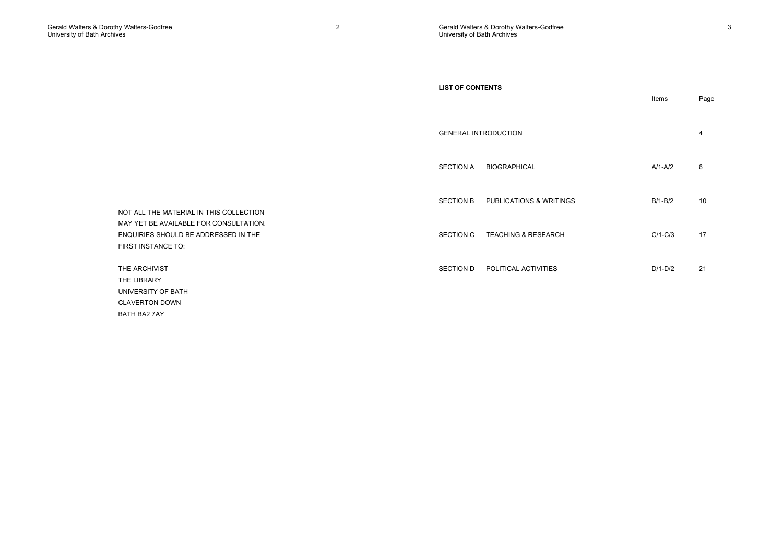|                                                                                                      | <b>LIST OF CONTENTS</b>                     | Items     | Page |
|------------------------------------------------------------------------------------------------------|---------------------------------------------|-----------|------|
|                                                                                                      | <b>GENERAL INTRODUCTION</b>                 |           | 4    |
|                                                                                                      | <b>SECTION A</b><br><b>BIOGRAPHICAL</b>     | $A/1-A/2$ | 6    |
| NOT ALL THE MATERIAL IN THIS COLLECTION                                                              | <b>SECTION B</b><br>PUBLICATIONS & WRITINGS | $B/1-B/2$ | 10   |
| MAY YET BE AVAILABLE FOR CONSULTATION.<br>ENQUIRIES SHOULD BE ADDRESSED IN THE<br>FIRST INSTANCE TO: | TEACHING & RESEARCH<br>SECTION C            | $C/1-C/3$ | 17   |
| THE ARCHIVIST<br>THE LIBRARY                                                                         | POLITICAL ACTIVITIES<br>SECTION D           | $D/1-D/2$ | 21   |
| UNIVERSITY OF BATH<br><b>CLAVERTON DOWN</b><br>BATH BA2 7AY                                          |                                             |           |      |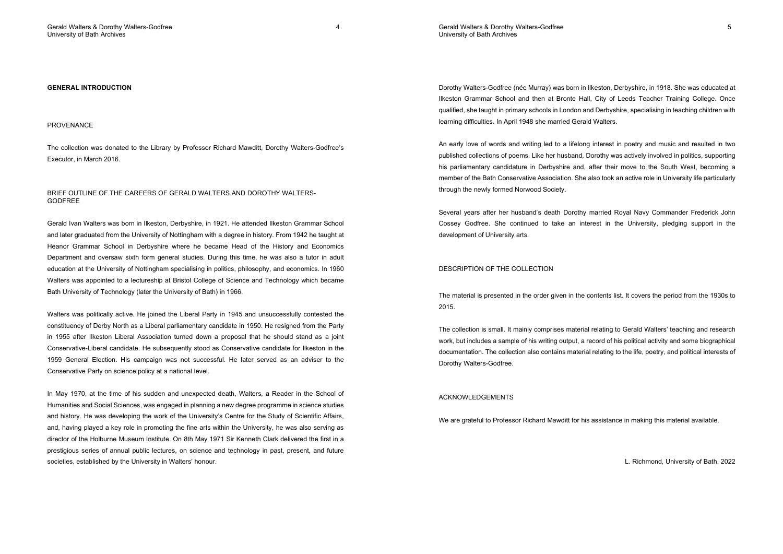Gerald Walters & Dorothy Walters-Godfree 5 University of Bath Archives

#### GENERAL INTRODUCTION

#### PROVENANCE

The collection was donated to the Library by Professor Richard Mawditt, Dorothy Walters-Godfree's Executor, in March 2016.

#### BRIEF OUTLINE OF THE CAREERS OF GERALD WALTERS AND DOROTHY WALTERS-GODFREE

Gerald Ivan Walters was born in Ilkeston, Derbyshire, in 1921. He attended Ilkeston Grammar School and later graduated from the University of Nottingham with a degree in history. From 1942 he taught at Heanor Grammar School in Derbyshire where he became Head of the History and Economics Department and oversaw sixth form general studies. During this time, he was also a tutor in adult education at the University of Nottingham specialising in politics, philosophy, and economics. In 1960 Walters was appointed to a lectureship at Bristol College of Science and Technology which became Bath University of Technology (later the University of Bath) in 1966.

Walters was politically active. He joined the Liberal Party in 1945 and unsuccessfully contested the constituency of Derby North as a Liberal parliamentary candidate in 1950. He resigned from the Party in 1955 after Ilkeston Liberal Association turned down a proposal that he should stand as a joint Conservative-Liberal candidate. He subsequently stood as Conservative candidate for Ilkeston in the 1959 General Election. His campaign was not successful. He later served as an adviser to the Conservative Party on science policy at a national level.

In May 1970, at the time of his sudden and unexpected death, Walters, a Reader in the School of Humanities and Social Sciences, was engaged in planning a new degree programme in science studies and history. He was developing the work of the University's Centre for the Study of Scientific Affairs, and, having played a key role in promoting the fine arts within the University, he was also serving as director of the Holburne Museum Institute. On 8th May 1971 Sir Kenneth Clark delivered the first in a prestigious series of annual public lectures, on science and technology in past, present, and future societies, established by the University in Walters' honour.

Dorothy Walters-Godfree (née Murray) was born in Ilkeston, Derbyshire, in 1918. She was educated at Ilkeston Grammar School and then at Bronte Hall, City of Leeds Teacher Training College. Once qualified, she taught in primary schools in London and Derbyshire, specialising in teaching children with learning difficulties. In April 1948 she married Gerald Walters.

An early love of words and writing led to a lifelong interest in poetry and music and resulted in two published collections of poems. Like her husband, Dorothy was actively involved in politics, supporting his parliamentary candidature in Derbyshire and, after their move to the South West, becoming a member of the Bath Conservative Association. She also took an active role in University life particularly through the newly formed Norwood Society.

Several years after her husband's death Dorothy married Royal Navy Commander Frederick John Cossey Godfree. She continued to take an interest in the University, pledging support in the development of University arts.

## DESCRIPTION OF THE COLLECTION

The material is presented in the order given in the contents list. It covers the period from the 1930s to 2015.

The collection is small. It mainly comprises material relating to Gerald Walters' teaching and research work, but includes a sample of his writing output, a record of his political activity and some biographical documentation. The collection also contains material relating to the life, poetry, and political interests of Dorothy Walters-Godfree.

#### ACKNOWLEDGEMENTS

We are grateful to Professor Richard Mawditt for his assistance in making this material available.

L. Richmond, University of Bath, 2022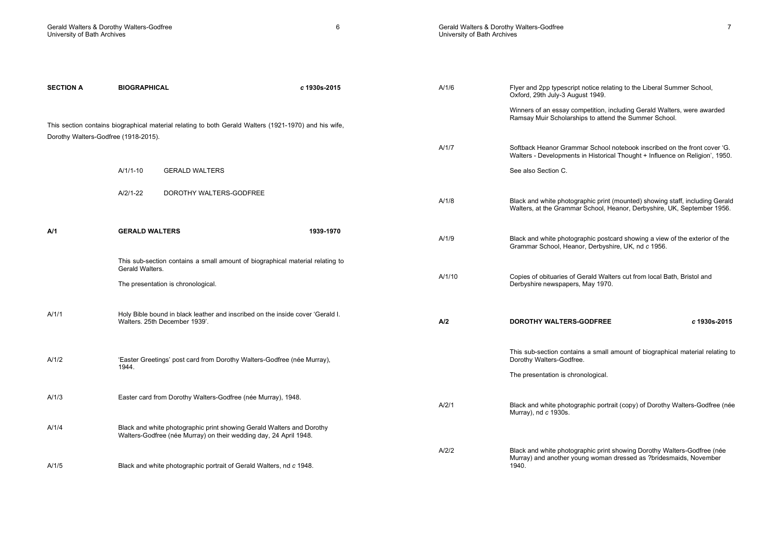Gerald Walters & Dorothy Walters-Godfree 7 University of Bath Archives

| <b>SECTION A</b>                     | <b>BIOGRAPHICAL</b>                                                                                                                        | c 1930s-2015 | A/1/6  | Flyer and 2pp typescript notice relating to the Liberal Summer School,<br>Oxford, 29th July-3 August 1949.                                               |
|--------------------------------------|--------------------------------------------------------------------------------------------------------------------------------------------|--------------|--------|----------------------------------------------------------------------------------------------------------------------------------------------------------|
| Dorothy Walters-Godfree (1918-2015). | This section contains biographical material relating to both Gerald Walters (1921-1970) and his wife,                                      |              |        | Winners of an essay competition, including Gerald Walters, were awarded<br>Ramsay Muir Scholarships to attend the Summer School.                         |
|                                      |                                                                                                                                            |              | A/1/7  | Softback Heanor Grammar School notebook inscribed on the front cover 'G.<br>Walters - Developments in Historical Thought + Influence on Religion', 1950. |
|                                      | $A/1/1-10$<br><b>GERALD WALTERS</b>                                                                                                        |              |        | See also Section C.                                                                                                                                      |
|                                      | $A/2/1-22$<br>DOROTHY WALTERS-GODFREE                                                                                                      |              | A/1/8  | Black and white photographic print (mounted) showing staff, including Gerald<br>Walters, at the Grammar School, Heanor, Derbyshire, UK, September 1956.  |
| A/1                                  | <b>GERALD WALTERS</b>                                                                                                                      | 1939-1970    | A/1/9  | Black and white photographic postcard showing a view of the exterior of the<br>Grammar School, Heanor, Derbyshire, UK, nd c 1956.                        |
|                                      | This sub-section contains a small amount of biographical material relating to<br>Gerald Walters.                                           |              | A/1/10 | Copies of obituaries of Gerald Walters cut from local Bath, Bristol and                                                                                  |
|                                      | The presentation is chronological.                                                                                                         |              |        | Derbyshire newspapers, May 1970.                                                                                                                         |
| A/1/1                                | Holy Bible bound in black leather and inscribed on the inside cover 'Gerald I.<br>Walters, 25th December 1939'.                            |              | A/2    | <b>DOROTHY WALTERS-GODFREE</b><br>c 1930s-2015                                                                                                           |
| A/1/2                                | 'Easter Greetings' post card from Dorothy Walters-Godfree (née Murray),<br>1944.                                                           |              |        | This sub-section contains a small amount of biographical material relating to<br>Dorothy Walters-Godfree.                                                |
|                                      |                                                                                                                                            |              |        | The presentation is chronological.                                                                                                                       |
| A/1/3                                | Easter card from Dorothy Walters-Godfree (née Murray), 1948.                                                                               |              | A/2/1  | Black and white photographic portrait (copy) of Dorothy Walters-Godfree (née<br>Murray), nd c 1930s.                                                     |
| A/1/4                                | Black and white photographic print showing Gerald Walters and Dorothy<br>Walters-Godfree (née Murray) on their wedding day, 24 April 1948. |              |        |                                                                                                                                                          |
|                                      |                                                                                                                                            |              | A/2/2  | Black and white photographic print showing Dorothy Walters-Godfree (née<br>Murray) and another young woman dressed as ?bridesmaids, November             |
| A/1/5                                | Black and white photographic portrait of Gerald Walters, nd c 1948.                                                                        |              |        | 1940.                                                                                                                                                    |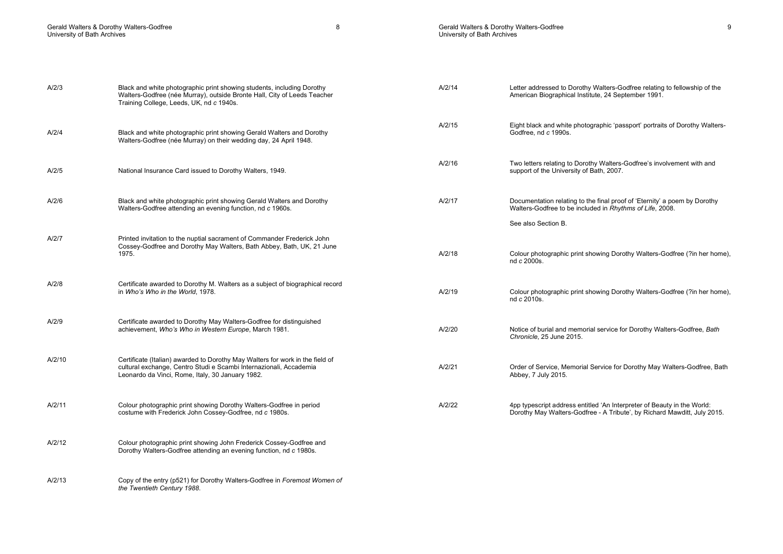## Gerald Walters & Dorothy Walters-Godfree 9 University of Bath Archives

| A/2/3 | Black and white photographic print showing students, including Dorothy<br>Walters-Godfree (née Murray), outside Bronte Hall, City of Leeds Teacher<br>Training College, Leeds, UK, nd c 1940s. | A/2/14 | Letter addressed to Dorothy Walters-Godfree relating to fellowship of the<br>American Biographical Institute, 24 September 1991.                                                                                                                                                                                                                                        |
|-------|------------------------------------------------------------------------------------------------------------------------------------------------------------------------------------------------|--------|-------------------------------------------------------------------------------------------------------------------------------------------------------------------------------------------------------------------------------------------------------------------------------------------------------------------------------------------------------------------------|
| A/2/4 | Black and white photographic print showing Gerald Walters and Dorothy<br>Walters-Godfree (née Murray) on their wedding day, 24 April 1948.                                                     | A/2/15 | Eight black and white photographic 'passport' portraits of Dorothy Walters-<br>Godfree, nd c 1990s.                                                                                                                                                                                                                                                                     |
| ADIT  |                                                                                                                                                                                                | A/2/16 | Two letters relating to Dorothy Walters-Godfree's involvement with and<br>$\frac{1}{2}$ and $\frac{1}{2}$ and $\frac{1}{2}$ and $\frac{1}{2}$ and $\frac{1}{2}$ and $\frac{1}{2}$ and $\frac{1}{2}$ and $\frac{1}{2}$ and $\frac{1}{2}$ and $\frac{1}{2}$ and $\frac{1}{2}$ and $\frac{1}{2}$ and $\frac{1}{2}$ and $\frac{1}{2}$ and $\frac{1}{2}$ and $\frac{1}{2}$ a |

| A/2/5  | National Insurance Card issued to Dorothy Walters, 1949.                                                                                                                                                | A/2/16 | Two letters relating to Dorothy Walters-Godfree's involvement with and<br>support of the University of Bath, 2007.                                  |
|--------|---------------------------------------------------------------------------------------------------------------------------------------------------------------------------------------------------------|--------|-----------------------------------------------------------------------------------------------------------------------------------------------------|
| A/2/6  | Black and white photographic print showing Gerald Walters and Dorothy<br>Walters-Godfree attending an evening function, nd c 1960s.                                                                     | A/2/17 | Documentation relating to the final proof of 'Eternity' a poem by Dorothy<br>Walters-Godfree to be included in Rhythms of Life, 2008.               |
|        |                                                                                                                                                                                                         |        | See also Section B.                                                                                                                                 |
| A/2/7  | Printed invitation to the nuptial sacrament of Commander Frederick John<br>Cossey-Godfree and Dorothy May Walters, Bath Abbey, Bath, UK, 21 June<br>1975.                                               | A/2/18 | Colour photographic print showing Dorothy Walters-Godfree (?in her home),<br>nd c 2000s.                                                            |
| A/2/8  | Certificate awarded to Dorothy M. Walters as a subject of biographical record<br>in Who's Who in the World, 1978.                                                                                       | A/2/19 | Colour photographic print showing Dorothy Walters-Godfree (?in her home),<br>nd c 2010s.                                                            |
| A/2/9  | Certificate awarded to Dorothy May Walters-Godfree for distinguished<br>achievement, Who's Who in Western Europe, March 1981.                                                                           | A/2/20 | Notice of burial and memorial service for Dorothy Walters-Godfree, Bath<br>Chronicle, 25 June 2015.                                                 |
| A/2/10 | Certificate (Italian) awarded to Dorothy May Walters for work in the field of<br>cultural exchange, Centro Studi e Scambi Internazionali, Accademia<br>Leonardo da Vinci, Rome, Italy, 30 January 1982. | A/2/21 | Order of Service, Memorial Service for Dorothy May Walters-Godfree, Bath<br>Abbey, 7 July 2015.                                                     |
| A/2/11 | Colour photographic print showing Dorothy Walters-Godfree in period<br>costume with Frederick John Cossey-Godfree, nd c 1980s.                                                                          | A/2/22 | 4pp typescript address entitled 'An Interpreter of Beauty in the World:<br>Dorothy May Walters-Godfree - A Tribute', by Richard Mawditt, July 2015. |
|        |                                                                                                                                                                                                         |        |                                                                                                                                                     |

A/2/12 Colour photographic print showing John Frederick Cossey-Godfree and Dorothy Walters-Godfree attending an evening function, nd c 1980s.

A/2/13 Copy of the entry (p521) for Dorothy Walters-Godfree in Foremost Women of the Twentieth Century 1988.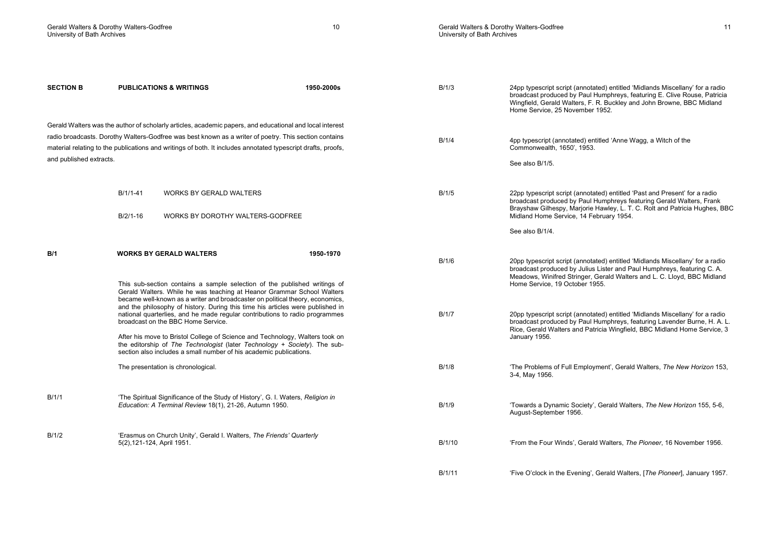| <b>SECTION B</b>        | <b>PUBLICATIONS &amp; WRITINGS</b>                                                                                                                                                                                                   | 1950-2000s | B/1/3  | 24pp typescript script (annotated) entitled 'Midlands Miscellany' for a radio<br>broadcast produced by Paul Humphreys, featuring E. Clive Rouse, Patricia<br>Wingfield, Gerald Walters, F. R. Buckley and John Browne, BBC Midland<br>Home Service, 25 November 1952. |
|-------------------------|--------------------------------------------------------------------------------------------------------------------------------------------------------------------------------------------------------------------------------------|------------|--------|-----------------------------------------------------------------------------------------------------------------------------------------------------------------------------------------------------------------------------------------------------------------------|
|                         | Gerald Walters was the author of scholarly articles, academic papers, and educational and local interest                                                                                                                             |            |        |                                                                                                                                                                                                                                                                       |
|                         | radio broadcasts. Dorothy Walters-Godfree was best known as a writer of poetry. This section contains<br>material relating to the publications and writings of both. It includes annotated typescript drafts, proofs,                |            | B/1/4  | 4pp typescript (annotated) entitled 'Anne Wagg, a Witch of the<br>Commonwealth, 1650', 1953.                                                                                                                                                                          |
| and published extracts. |                                                                                                                                                                                                                                      |            |        | See also B/1/5.                                                                                                                                                                                                                                                       |
|                         |                                                                                                                                                                                                                                      |            |        |                                                                                                                                                                                                                                                                       |
|                         | $B/1/1-41$<br><b>WORKS BY GERALD WALTERS</b>                                                                                                                                                                                         |            | B/1/5  | 22pp typescript script (annotated) entitled 'Past and Present' for a radio<br>broadcast produced by Paul Humphreys featuring Gerald Walters, Frank<br>Brayshaw Gilhespy, Marjorie Hawley, L. T. C. Rolt and Patricia Hughes, BBC                                      |
|                         | B/2/1-16<br>WORKS BY DOROTHY WALTERS-GODFREE                                                                                                                                                                                         |            |        | Midland Home Service, 14 February 1954.                                                                                                                                                                                                                               |
|                         |                                                                                                                                                                                                                                      |            |        | See also B/1/4.                                                                                                                                                                                                                                                       |
| B/1                     | <b>WORKS BY GERALD WALTERS</b>                                                                                                                                                                                                       | 1950-1970  |        |                                                                                                                                                                                                                                                                       |
|                         |                                                                                                                                                                                                                                      |            | B/1/6  | 20pp typescript script (annotated) entitled 'Midlands Miscellany' for a radio<br>broadcast produced by Julius Lister and Paul Humphreys, featuring C. A.<br>Meadows, Winifred Stringer, Gerald Walters and L. C. Lloyd, BBC Midland                                   |
|                         | This sub-section contains a sample selection of the published writings of<br>Gerald Walters. While he was teaching at Heanor Grammar School Walters<br>became well-known as a writer and broadcaster on political theory, economics, |            |        | Home Service, 19 October 1955.                                                                                                                                                                                                                                        |
|                         | and the philosophy of history. During this time his articles were published in<br>national quarterlies, and he made regular contributions to radio programmes<br>broadcast on the BBC Home Service.                                  |            | B/1/7  | 20pp typescript script (annotated) entitled 'Midlands Miscellany' for a radio<br>broadcast produced by Paul Humphreys, featuring Lavender Burne, H. A. L.<br>Rice, Gerald Walters and Patricia Wingfield, BBC Midland Home Service, 3                                 |
|                         | After his move to Bristol College of Science and Technology, Walters took on<br>the editorship of The Technologist (later Technology + Society). The sub-<br>section also includes a small number of his academic publications.      |            |        | January 1956.                                                                                                                                                                                                                                                         |
|                         | The presentation is chronological.                                                                                                                                                                                                   |            | B/1/8  | 'The Problems of Full Employment', Gerald Walters, The New Horizon 153,<br>3-4, May 1956.                                                                                                                                                                             |
|                         |                                                                                                                                                                                                                                      |            |        |                                                                                                                                                                                                                                                                       |
| B/1/1                   | 'The Spiritual Significance of the Study of History', G. I. Waters, Religion in<br>Education: A Terminal Review 18(1), 21-26, Autumn 1950.                                                                                           |            | B/1/9  | 'Towards a Dynamic Society', Gerald Walters, The New Horizon 155, 5-6,<br>August-September 1956.                                                                                                                                                                      |
| B/1/2                   | 'Erasmus on Church Unity', Gerald I. Walters, The Friends' Quarterly                                                                                                                                                                 |            |        |                                                                                                                                                                                                                                                                       |
|                         | 5(2), 121-124, April 1951.                                                                                                                                                                                                           |            | B/1/10 | 'From the Four Winds', Gerald Walters, The Pioneer, 16 November 1956.                                                                                                                                                                                                 |
|                         |                                                                                                                                                                                                                                      |            | B/1/11 | 'Five O'clock in the Evening', Gerald Walters, [The Pioneer], January 1957.                                                                                                                                                                                           |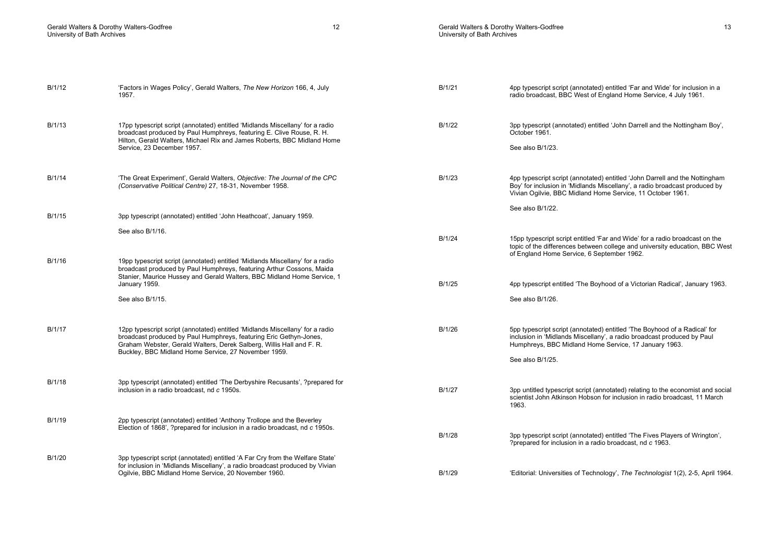# Gerald Walters & Dorothy Walters-Godfree 13 University of Bath Archives

| B/1/12 | 'Factors in Wages Policy', Gerald Walters, The New Horizon 166, 4, July<br>1957.                                                                                                                                                  | B/1/21 | 4pp typescript script (annotated) entitled 'Far and Wide' for inclusion in a<br>radio broadcast, BBC West of England Home Service, 4 July 1961.                                                                         |
|--------|-----------------------------------------------------------------------------------------------------------------------------------------------------------------------------------------------------------------------------------|--------|-------------------------------------------------------------------------------------------------------------------------------------------------------------------------------------------------------------------------|
| B/1/13 | 17pp typescript script (annotated) entitled 'Midlands Miscellany' for a radio<br>broadcast produced by Paul Humphreys, featuring E. Clive Rouse, R. H.<br>Hilton, Gerald Walters, Michael Rix and James Roberts, BBC Midland Home | B/1/22 | 3pp typescript (annotated) entitled 'John Darrell and the Nottingham Boy',<br>October 1961.                                                                                                                             |
|        | Service, 23 December 1957.                                                                                                                                                                                                        |        | See also B/1/23.                                                                                                                                                                                                        |
| B/1/14 | 'The Great Experiment', Gerald Walters, Objective: The Journal of the CPC<br>(Conservative Political Centre) 27, 18-31, November 1958.                                                                                            | B/1/23 | 4pp typescript script (annotated) entitled 'John Darrell and the Nottingham<br>Boy' for inclusion in 'Midlands Miscellany', a radio broadcast produced by<br>Vivian Ogilvie, BBC Midland Home Service, 11 October 1961. |
| B/1/15 | 3pp typescript (annotated) entitled 'John Heathcoat', January 1959.                                                                                                                                                               |        | See also B/1/22.                                                                                                                                                                                                        |
|        | See also B/1/16.                                                                                                                                                                                                                  |        |                                                                                                                                                                                                                         |
|        |                                                                                                                                                                                                                                   | B/1/24 | 15pp typescript script entitled 'Far and Wide' for a radio broadcast on the<br>topic of the differences between college and university education, BBC West<br>of England Home Service, 6 September 1962.                |
| B/1/16 | 19pp typescript script (annotated) entitled 'Midlands Miscellany' for a radio<br>broadcast produced by Paul Humphreys, featuring Arthur Cossons, Maida<br>Stanier, Maurice Hussey and Gerald Walters, BBC Midland Home Service, 1 |        |                                                                                                                                                                                                                         |
|        | January 1959.                                                                                                                                                                                                                     | B/1/25 | 4pp typescript entitled 'The Boyhood of a Victorian Radical', January 1963.                                                                                                                                             |
|        | See also B/1/15.                                                                                                                                                                                                                  |        | See also B/1/26.                                                                                                                                                                                                        |
| B/1/17 | 12pp typescript script (annotated) entitled 'Midlands Miscellany' for a radio<br>broadcast produced by Paul Humphreys, featuring Eric Gethyn-Jones,<br>Graham Webster, Gerald Walters, Derek Salberg, Willis Hall and F. R.       | B/1/26 | 5pp typescript script (annotated) entitled 'The Boyhood of a Radical' for<br>inclusion in 'Midlands Miscellany', a radio broadcast produced by Paul<br>Humphreys, BBC Midland Home Service, 17 January 1963.            |
|        | Buckley, BBC Midland Home Service, 27 November 1959.                                                                                                                                                                              |        | See also B/1/25.                                                                                                                                                                                                        |
| B/1/18 | 3pp typescript (annotated) entitled 'The Derbyshire Recusants', ?prepared for                                                                                                                                                     |        |                                                                                                                                                                                                                         |
|        | inclusion in a radio broadcast, nd c 1950s.                                                                                                                                                                                       | B/1/27 | 3pp untitled typescript script (annotated) relating to the economist and social<br>scientist John Atkinson Hobson for inclusion in radio broadcast, 11 March<br>1963.                                                   |
| B/1/19 | 2pp typescript (annotated) entitled 'Anthony Trollope and the Beverley<br>Election of 1868', ?prepared for inclusion in a radio broadcast, nd c 1950s.                                                                            | B/1/28 | 3pp typescript script (annotated) entitled 'The Fives Players of Wrington',<br>?prepared for inclusion in a radio broadcast, nd c 1963.                                                                                 |
| B/1/20 | 3pp typescript script (annotated) entitled 'A Far Cry from the Welfare State'                                                                                                                                                     |        |                                                                                                                                                                                                                         |
|        | for inclusion in 'Midlands Miscellany', a radio broadcast produced by Vivian<br>Ogilvie, BBC Midland Home Service, 20 November 1960.                                                                                              | B/1/29 | 'Editorial: Universities of Technology', The Technologist 1(2), 2-5, April 1964.                                                                                                                                        |
|        |                                                                                                                                                                                                                                   |        |                                                                                                                                                                                                                         |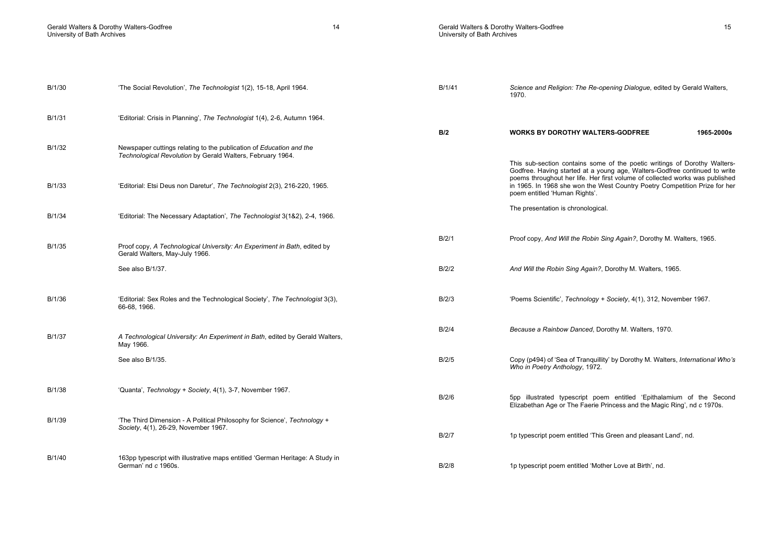| B/1/30 | 'The Social Revolution', The Technologist 1(2), 15-18, April 1964.                                               | B/1/41 | Science and Religion: The Re-opening Dialogue, edited by Gerald Walters,<br>1970.                                                                                                                                                                                         |
|--------|------------------------------------------------------------------------------------------------------------------|--------|---------------------------------------------------------------------------------------------------------------------------------------------------------------------------------------------------------------------------------------------------------------------------|
| B/1/31 | 'Editorial: Crisis in Planning', The Technologist 1(4), 2-6, Autumn 1964.                                        |        |                                                                                                                                                                                                                                                                           |
| B/1/32 | Newspaper cuttings relating to the publication of Education and the                                              | B/2    | 1965-2000s<br><b>WORKS BY DOROTHY WALTERS-GODFREE</b>                                                                                                                                                                                                                     |
|        | Technological Revolution by Gerald Walters, February 1964.                                                       |        | This sub-section contains some of the poetic writings of Dorothy Walters-                                                                                                                                                                                                 |
| B/1/33 | 'Editorial: Etsi Deus non Daretur', The Technologist 2(3), 216-220, 1965.                                        |        | Godfree. Having started at a young age, Walters-Godfree continued to write<br>poems throughout her life. Her first volume of collected works was published<br>in 1965. In 1968 she won the West Country Poetry Competition Prize for her<br>poem entitled 'Human Rights'. |
| B/1/34 | 'Editorial: The Necessary Adaptation', The Technologist 3(1&2), 2-4, 1966.                                       |        | The presentation is chronological.                                                                                                                                                                                                                                        |
| B/1/35 | Proof copy, A Technological University: An Experiment in Bath, edited by<br>Gerald Walters, May-July 1966.       | B/2/1  | Proof copy, And Will the Robin Sing Again?, Dorothy M. Walters, 1965.                                                                                                                                                                                                     |
|        | See also B/1/37.                                                                                                 | B/2/2  | And Will the Robin Sing Again?, Dorothy M. Walters, 1965.                                                                                                                                                                                                                 |
| B/1/36 | 'Editorial: Sex Roles and the Technological Society', The Technologist 3(3),<br>66-68, 1966.                     | B/2/3  | 'Poems Scientific', Technology + Society, 4(1), 312, November 1967.                                                                                                                                                                                                       |
| B/1/37 | A Technological University: An Experiment in Bath, edited by Gerald Walters,<br>May 1966.                        | B/2/4  | Because a Rainbow Danced, Dorothy M. Walters, 1970.                                                                                                                                                                                                                       |
|        | See also B/1/35.                                                                                                 | B/2/5  | Copy (p494) of 'Sea of Tranquillity' by Dorothy M. Walters, International Who's<br>Who in Poetry Anthology, 1972.                                                                                                                                                         |
| B/1/38 | 'Quanta', Technology + Society, 4(1), 3-7, November 1967.                                                        | B/2/6  | 5pp illustrated typescript poem entitled 'Epithalamium of the Second<br>Elizabethan Age or The Faerie Princess and the Magic Ring', nd c 1970s.                                                                                                                           |
| B/1/39 | 'The Third Dimension - A Political Philosophy for Science', Technology +<br>Society, 4(1), 26-29, November 1967. | B/2/7  | 1p typescript poem entitled 'This Green and pleasant Land', nd.                                                                                                                                                                                                           |
| B/1/40 | 163pp typescript with illustrative maps entitled 'German Heritage: A Study in<br>German' nd c 1960s.             | B/2/8  | 1p typescript poem entitled 'Mother Love at Birth', nd.                                                                                                                                                                                                                   |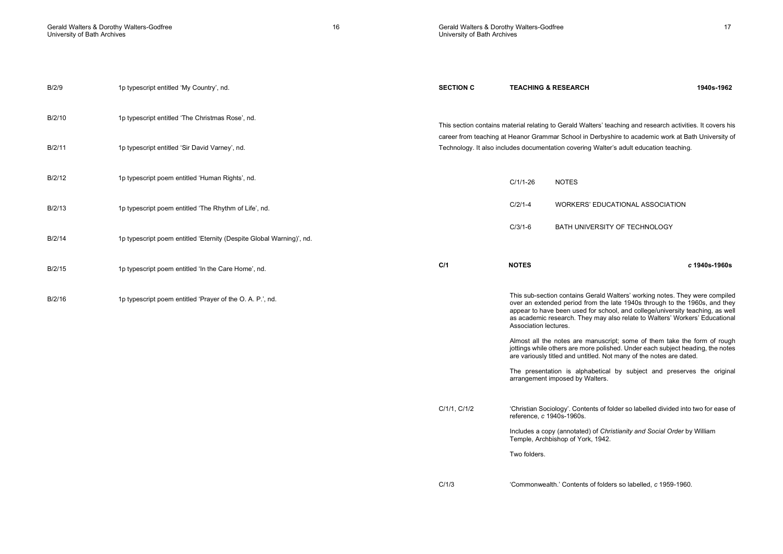| Gerald Walters & Dorothy Walters-Godfree<br>University of Bath Archives |                                                                      | 16 | Gerald Walters & Dorothy Walters-Godfree<br>University of Bath Archives |              | 17                                                                                                                                                                                                                                         |
|-------------------------------------------------------------------------|----------------------------------------------------------------------|----|-------------------------------------------------------------------------|--------------|--------------------------------------------------------------------------------------------------------------------------------------------------------------------------------------------------------------------------------------------|
| B/2/9                                                                   | 1p typescript entitled 'My Country', nd.                             |    | <b>SECTION C</b>                                                        |              | <b>TEACHING &amp; RESEARCH</b><br>1940s-1962                                                                                                                                                                                               |
| B/2/10                                                                  | 1p typescript entitled 'The Christmas Rose', nd.                     |    |                                                                         |              | This section contains material relating to Gerald Walters' teaching and research activities. It covers his                                                                                                                                 |
| B/2/11                                                                  | 1p typescript entitled 'Sir David Varney', nd.                       |    |                                                                         |              | career from teaching at Heanor Grammar School in Derbyshire to academic work at Bath University of<br>Technology. It also includes documentation covering Walter's adult education teaching.                                               |
| B/2/12                                                                  | 1p typescript poem entitled 'Human Rights', nd.                      |    |                                                                         | $C/1/1-26$   | <b>NOTES</b>                                                                                                                                                                                                                               |
| B/2/13                                                                  | 1p typescript poem entitled 'The Rhythm of Life', nd.                |    |                                                                         | $C/2/1-4$    | WORKERS' EDUCATIONAL ASSOCIATION                                                                                                                                                                                                           |
| B/2/14                                                                  | 1p typescript poem entitled 'Eternity (Despite Global Warning)', nd. |    |                                                                         | $C/3/1-6$    | BATH UNIVERSITY OF TECHNOLOGY                                                                                                                                                                                                              |
| B/2/15                                                                  | 1p typescript poem entitled 'In the Care Home', nd.                  |    | C/1                                                                     | <b>NOTES</b> | c 1940s-1960s                                                                                                                                                                                                                              |
| B/2/16                                                                  | 1p typescript poem entitled 'Prayer of the O. A. P.', nd.            |    |                                                                         |              | This sub-section contains Gerald Walters' working notes. They were compiled<br>over an extended period from the late 1940s through to the 1960s, and they<br>appear to have been used for school, and college/university teaching, as well |

Two folders.

Association lectures.

arrangement imposed by Walters.

Temple, Archbishop of York, 1942.

reference, c 1940s-1960s.

C/1/3 'Commonwealth.' Contents of folders so labelled, c 1959-1960.

Includes a copy (annotated) of Christianity and Social Order by William

as academic research. They may also relate to Walters' Workers' Educational

 Almost all the notes are manuscript; some of them take the form of rough jottings while others are more polished. Under each subject heading, the notes

The presentation is alphabetical by subject and preserves the original

are variously titled and untitled. Not many of the notes are dated.

C/1/1, C/1/2 'Christian Sociology'. Contents of folder so labelled divided into two for ease of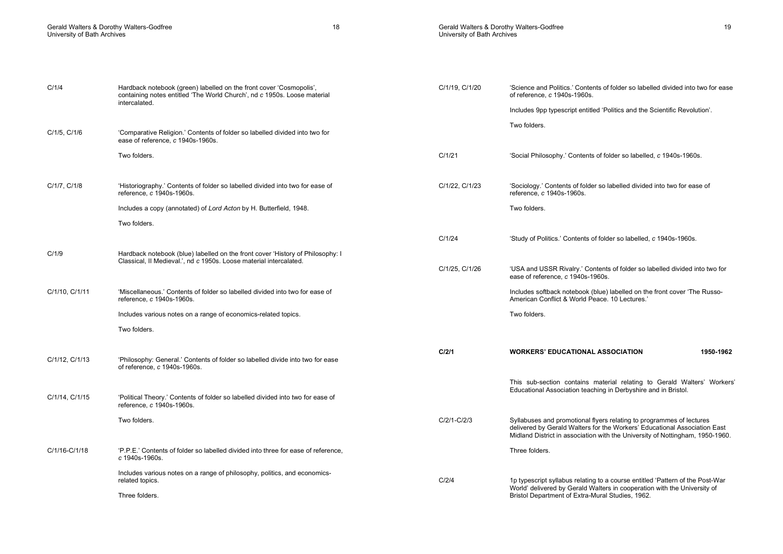# Gerald Walters & Dorothy Walters-Godfree 19 and 19 and 19 and 19 and 19 and 19 and 19 and 19 and 19 and 19 and 19 and 19 and 19 and 19 and 19 and 19 and 19 and 19 and 19 and 19 and 19 and 19 and 19 and 19 and 19 and 19 and University of Bath Archives

| C/1/4          | Hardback notebook (green) labelled on the front cover 'Cosmopolis',<br>containing notes entitled 'The World Church', nd c 1950s. Loose material<br>intercalated. | C/1/19, C/1/20 | 'Science and Politics.' Contents of folder so labelled divided into two for ease<br>of reference, c 1940s-1960s.                                                                                                                   |
|----------------|------------------------------------------------------------------------------------------------------------------------------------------------------------------|----------------|------------------------------------------------------------------------------------------------------------------------------------------------------------------------------------------------------------------------------------|
|                |                                                                                                                                                                  |                | Includes 9pp typescript entitled 'Politics and the Scientific Revolution'.                                                                                                                                                         |
| C/1/5, C/1/6   | 'Comparative Religion.' Contents of folder so labelled divided into two for<br>ease of reference, c 1940s-1960s.                                                 |                | Two folders.                                                                                                                                                                                                                       |
|                | Two folders.                                                                                                                                                     | C/1/21         | 'Social Philosophy.' Contents of folder so labelled, c 1940s-1960s.                                                                                                                                                                |
| C/1/7, C/1/8   | 'Historiography.' Contents of folder so labelled divided into two for ease of<br>reference, c 1940s-1960s.                                                       | C/1/22, C/1/23 | 'Sociology.' Contents of folder so labelled divided into two for ease of<br>reference, c 1940s-1960s.                                                                                                                              |
|                | Includes a copy (annotated) of Lord Acton by H. Butterfield, 1948.                                                                                               |                | Two folders.                                                                                                                                                                                                                       |
|                | Two folders.                                                                                                                                                     |                |                                                                                                                                                                                                                                    |
|                |                                                                                                                                                                  | C/1/24         | 'Study of Politics.' Contents of folder so labelled, c 1940s-1960s.                                                                                                                                                                |
| C/1/9          | Hardback notebook (blue) labelled on the front cover 'History of Philosophy: I<br>Classical, Il Medieval.', nd c 1950s. Loose material intercalated.             |                |                                                                                                                                                                                                                                    |
|                |                                                                                                                                                                  | C/1/25, C/1/26 | 'USA and USSR Rivalry.' Contents of folder so labelled divided into two for<br>ease of reference. c 1940s-1960s.                                                                                                                   |
| C/1/10, C/1/11 | 'Miscellaneous.' Contents of folder so labelled divided into two for ease of<br>reference, c 1940s-1960s.                                                        |                | Includes softback notebook (blue) labelled on the front cover 'The Russo-<br>American Conflict & World Peace, 10 Lectures.                                                                                                         |
|                | Includes various notes on a range of economics-related topics.                                                                                                   |                | Two folders.                                                                                                                                                                                                                       |
|                | Two folders.                                                                                                                                                     |                |                                                                                                                                                                                                                                    |
| C/1/12, C/1/13 | 'Philosophy: General.' Contents of folder so labelled divide into two for ease<br>of reference, c 1940s-1960s.                                                   | C/2/1          | <b>WORKERS' EDUCATIONAL ASSOCIATION</b><br>1950-1962                                                                                                                                                                               |
| C/1/14, C/1/15 | 'Political Theory.' Contents of folder so labelled divided into two for ease of                                                                                  |                | This sub-section contains material relating to Gerald Walters' Workers'<br>Educational Association teaching in Derbyshire and in Bristol.                                                                                          |
|                | reference, c 1940s-1960s.                                                                                                                                        |                |                                                                                                                                                                                                                                    |
|                | Two folders.                                                                                                                                                     | C/2/1-C/2/3    | Syllabuses and promotional flyers relating to programmes of lectures<br>delivered by Gerald Walters for the Workers' Educational Association East<br>Midland District in association with the University of Nottingham, 1950-1960. |
| C/1/16-C/1/18  | 'P.P.E.' Contents of folder so labelled divided into three for ease of reference,<br>c 1940s-1960s.                                                              |                | Three folders.                                                                                                                                                                                                                     |
|                | Includes various notes on a range of philosophy, politics, and economics-<br>related topics.                                                                     | C/2/4          | 1p typescript syllabus relating to a course entitled 'Pattern of the Post-War<br>World' delivered by Gerald Walters in cooperation with the University of                                                                          |
|                | Three folders.                                                                                                                                                   |                | Bristol Department of Extra-Mural Studies, 1962.                                                                                                                                                                                   |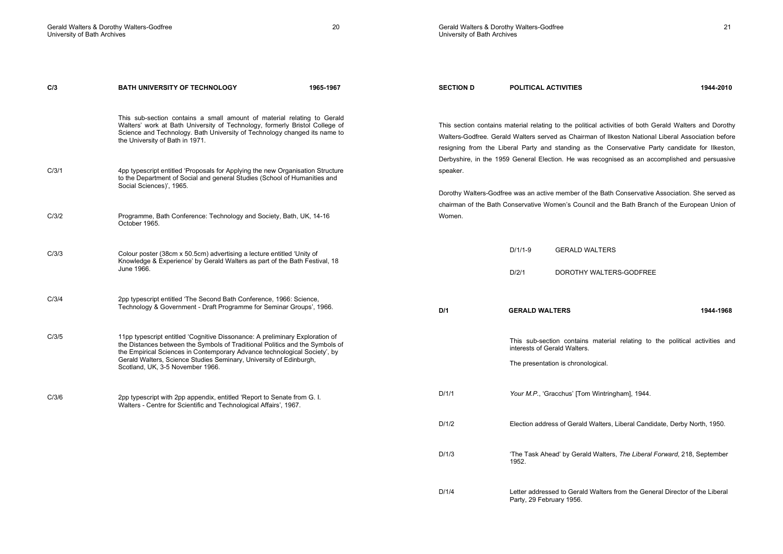Party, 29 February 1956.

C/3 BATH UNIVERSITY OF TECHNOLOGY 1965-1967 This sub-section contains a small amount of material relating to Gerald Walters' work at Bath University of Technology, formerly Bristol College of Science and Technology. Bath University of Technology changed its name to the University of Bath in 1971. C/3/1 4pp typescript entitled 'Proposals for Applying the new Organisation Structure to the Department of Social and general Studies (School of Humanities and Social Sciences)', 1965. C/3/2 Programme, Bath Conference: Technology and Society, Bath, UK, 14-16 October 1965. C/3/3 Colour poster (38cm x 50.5cm) advertising a lecture entitled 'Unity of Knowledge & Experience' by Gerald Walters as part of the Bath Festival, 18 June 1966. C/3/4 2pp typescript entitled 'The Second Bath Conference, 1966: Science, Technology & Government - Draft Programme for Seminar Groups', 1966. C/3/5 11pp typescript entitled 'Cognitive Dissonance: A preliminary Exploration of the Distances between the Symbols of Traditional Politics and the Symbols of the Empirical Sciences in Contemporary Advance technological Society', by Gerald Walters, Science Studies Seminary, University of Edinburgh, Scotland, UK, 3-5 November 1966. C/3/6 2pp typescript with 2pp appendix, entitled 'Report to Senate from G. I. Walters - Centre for Scientific and Technological Affairs', 1967. SECTION D POLITICAL ACTIVITIES 1944-2010 This section contains material relating to the political activities of both Gerald Walters and Dorothy Walters-Godfree. Gerald Walters served as Chairman of Ilkeston National Liberal Association before resigning from the Liberal Party and standing as the Conservative Party candidate for Ilkeston, Derbyshire, in the 1959 General Election. He was recognised as an accomplished and persuasive speaker. Dorothy Walters-Godfree was an active member of the Bath Conservative Association. She served as chairman of the Bath Conservative Women's Council and the Bath Branch of the European Union of Women. D/1/1-9 GERALD WALTERS D/2/1 DOROTHY WALTERS-GODFREE D/1 GERALD WALTERS 1944-1968 This sub-section contains material relating to the political activities and interests of Gerald Walters. The presentation is chronological. D/1/1 Your M.P., 'Gracchus' [Tom Wintringham], 1944. D/1/2 Election address of Gerald Walters, Liberal Candidate, Derby North, 1950. D/1/3 **The Task Ahead' by Gerald Walters, The Liberal Forward, 218, September** 1952. D/1/4 Letter addressed to Gerald Walters from the General Director of the Liberal